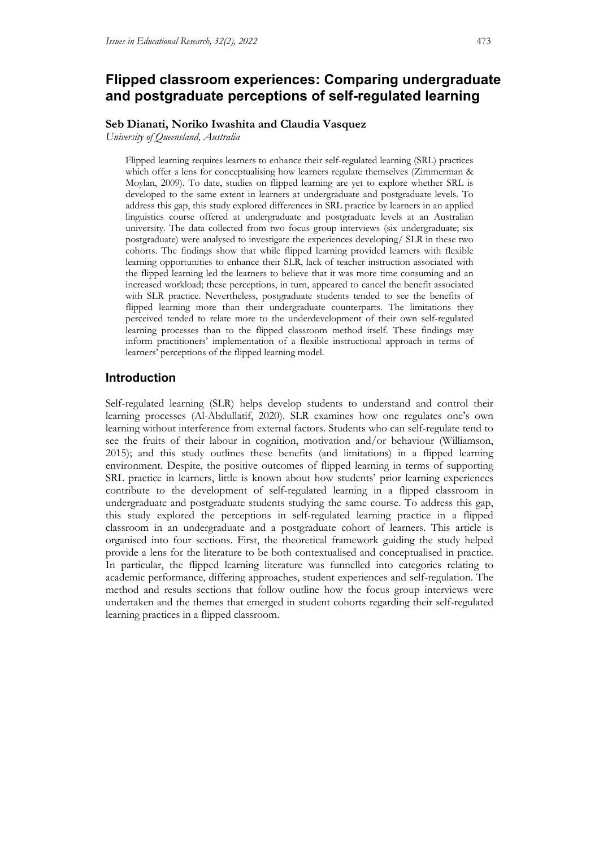# **Flipped classroom experiences: Comparing undergraduate and postgraduate perceptions of self-regulated learning**

### **Seb Dianati, Noriko Iwashita and Claudia Vasquez**

*University of Queensland, Australia*

Flipped learning requires learners to enhance their self-regulated learning (SRL) practices which offer a lens for conceptualising how learners regulate themselves (Zimmerman & Moylan, 2009). To date, studies on flipped learning are yet to explore whether SRL is developed to the same extent in learners at undergraduate and postgraduate levels. To address this gap, this study explored differences in SRL practice by learners in an applied linguistics course offered at undergraduate and postgraduate levels at an Australian university. The data collected from two focus group interviews (six undergraduate; six postgraduate) were analysed to investigate the experiences developing/ SLR in these two cohorts. The findings show that while flipped learning provided learners with flexible learning opportunities to enhance their SLR, lack of teacher instruction associated with the flipped learning led the learners to believe that it was more time consuming and an increased workload; these perceptions, in turn, appeared to cancel the benefit associated with SLR practice. Nevertheless, postgraduate students tended to see the benefits of flipped learning more than their undergraduate counterparts. The limitations they perceived tended to relate more to the underdevelopment of their own self-regulated learning processes than to the flipped classroom method itself. These findings may inform practitioners' implementation of a flexible instructional approach in terms of learners' perceptions of the flipped learning model.

## **Introduction**

Self-regulated learning (SLR) helps develop students to understand and control their learning processes (Al-Abdullatif, 2020). SLR examines how one regulates one's own learning without interference from external factors. Students who can self-regulate tend to see the fruits of their labour in cognition, motivation and/or behaviour (Williamson, 2015); and this study outlines these benefits (and limitations) in a flipped learning environment. Despite, the positive outcomes of flipped learning in terms of supporting SRL practice in learners, little is known about how students' prior learning experiences contribute to the development of self-regulated learning in a flipped classroom in undergraduate and postgraduate students studying the same course. To address this gap, this study explored the perceptions in self-regulated learning practice in a flipped classroom in an undergraduate and a postgraduate cohort of learners. This article is organised into four sections. First, the theoretical framework guiding the study helped provide a lens for the literature to be both contextualised and conceptualised in practice. In particular, the flipped learning literature was funnelled into categories relating to academic performance, differing approaches, student experiences and self-regulation. The method and results sections that follow outline how the focus group interviews were undertaken and the themes that emerged in student cohorts regarding their self-regulated learning practices in a flipped classroom.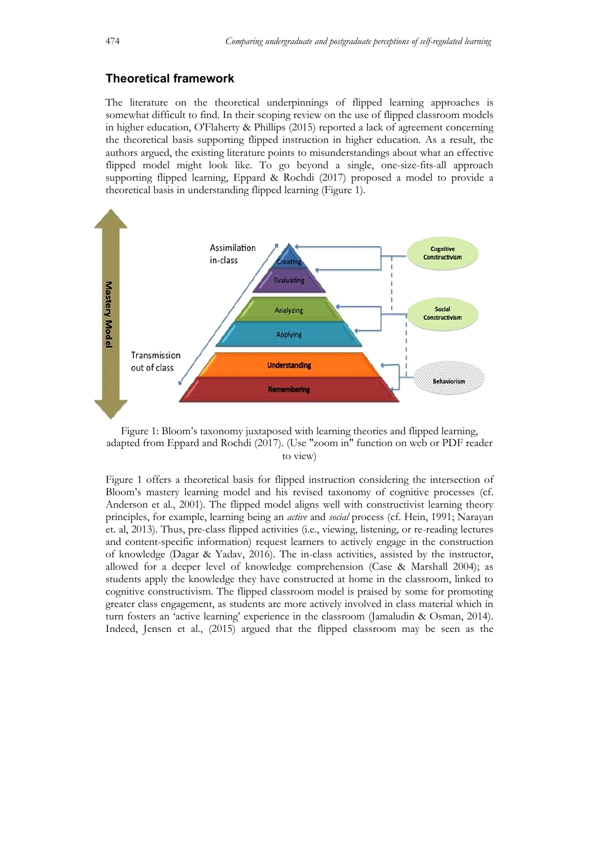## **Theoretical framework**

The literature on the theoretical underpinnings of flipped learning approaches is somewhat difficult to find. In their scoping review on the use of flipped classroom models in higher education, O'Flaherty & Phillips (2015) reported a lack of agreement concerning the theoretical basis supporting flipped instruction in higher education. As a result, the authors argued, the existing literature points to misunderstandings about what an effective flipped model might look like. To go beyond a single, one-size-fits-all approach supporting flipped learning, Eppard & Rochdi (2017) proposed a model to provide a theoretical basis in understanding flipped learning (Figure 1).



Figure 1: Bloom's taxonomy juxtaposed with learning theories and flipped learning, adapted from Eppard and Rochdi (2017). (Use "zoom in" function on web or PDF reader to view)

Figure 1 offers a theoretical basis for flipped instruction considering the intersection of Bloom's mastery learning model and his revised taxonomy of cognitive processes (cf. Anderson et al., 2001). The flipped model aligns well with constructivist learning theory principles, for example, learning being an *active* and *social* process (cf. Hein, 1991; Narayan et. al, 2013). Thus, pre-class flipped activities (i.e., viewing, listening, or re-reading lectures and content-specific information) request learners to actively engage in the construction of knowledge (Dagar & Yadav, 2016). The in-class activities, assisted by the instructor, allowed for a deeper level of knowledge comprehension (Case & Marshall 2004); as students apply the knowledge they have constructed at home in the classroom, linked to cognitive constructivism. The flipped classroom model is praised by some for promoting greater class engagement, as students are more actively involved in class material which in turn fosters an 'active learning' experience in the classroom (Jamaludin & Osman, 2014). Indeed, Jensen et al., (2015) argued that the flipped classroom may be seen as the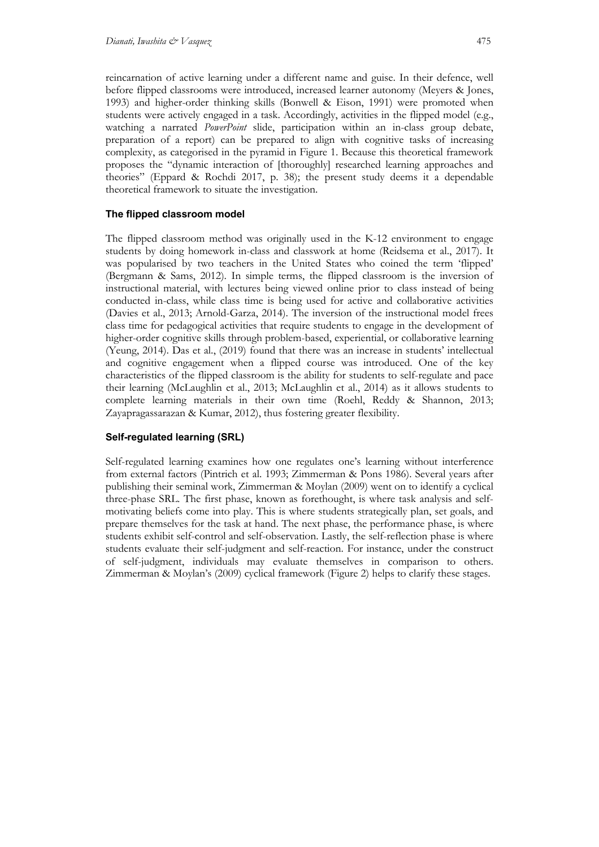reincarnation of active learning under a different name and guise. In their defence, well before flipped classrooms were introduced, increased learner autonomy (Meyers & Jones, 1993) and higher-order thinking skills (Bonwell & Eison, 1991) were promoted when students were actively engaged in a task. Accordingly, activities in the flipped model (e.g., watching a narrated *PowerPoint* slide, participation within an in-class group debate, preparation of a report) can be prepared to align with cognitive tasks of increasing complexity, as categorised in the pyramid in Figure 1. Because this theoretical framework proposes the "dynamic interaction of [thoroughly] researched learning approaches and theories" (Eppard & Rochdi 2017, p. 38); the present study deems it a dependable theoretical framework to situate the investigation.

### **The flipped classroom model**

The flipped classroom method was originally used in the K-12 environment to engage students by doing homework in-class and classwork at home (Reidsema et al., 2017). It was popularised by two teachers in the United States who coined the term 'flipped' (Bergmann & Sams, 2012). In simple terms, the flipped classroom is the inversion of instructional material, with lectures being viewed online prior to class instead of being conducted in-class, while class time is being used for active and collaborative activities (Davies et al., 2013; Arnold-Garza, 2014). The inversion of the instructional model frees class time for pedagogical activities that require students to engage in the development of higher-order cognitive skills through problem-based, experiential, or collaborative learning (Yeung, 2014). Das et al., (2019) found that there was an increase in students' intellectual and cognitive engagement when a flipped course was introduced. One of the key characteristics of the flipped classroom is the ability for students to self-regulate and pace their learning (McLaughlin et al., 2013; McLaughlin et al., 2014) as it allows students to complete learning materials in their own time (Roehl, Reddy & Shannon, 2013; Zayapragassarazan & Kumar, 2012), thus fostering greater flexibility.

#### **Self-regulated learning (SRL)**

Self-regulated learning examines how one regulates one's learning without interference from external factors (Pintrich et al. 1993; Zimmerman & Pons 1986). Several years after publishing their seminal work, Zimmerman & Moylan (2009) went on to identify a cyclical three-phase SRL. The first phase, known as forethought, is where task analysis and selfmotivating beliefs come into play. This is where students strategically plan, set goals, and prepare themselves for the task at hand. The next phase, the performance phase, is where students exhibit self-control and self-observation. Lastly, the self-reflection phase is where students evaluate their self-judgment and self-reaction. For instance, under the construct of self-judgment, individuals may evaluate themselves in comparison to others. Zimmerman & Moylan's (2009) cyclical framework (Figure 2) helps to clarify these stages.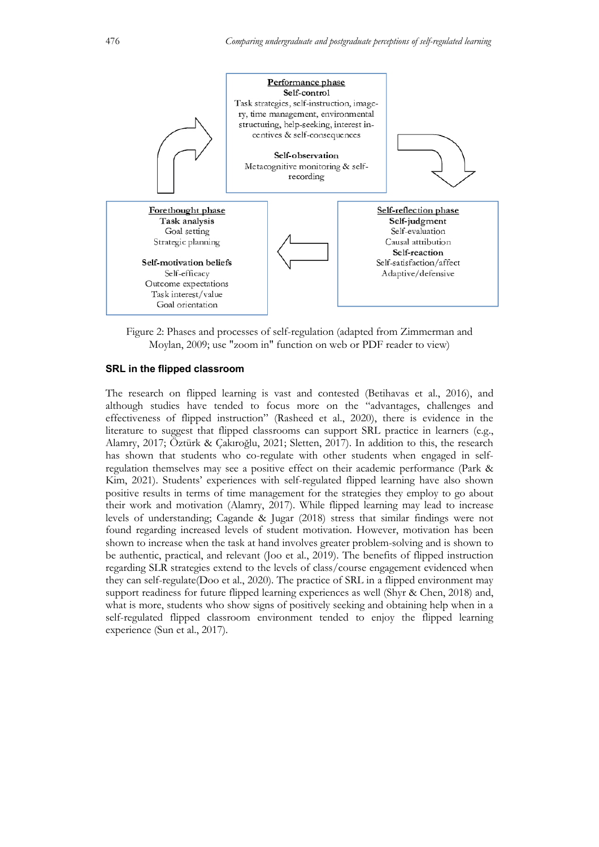

Figure 2: Phases and processes of self-regulation (adapted from Zimmerman and Moylan, 2009; use "zoom in" function on web or PDF reader to view)

#### **SRL in the flipped classroom**

The research on flipped learning is vast and contested (Betihavas et al., 2016), and although studies have tended to focus more on the "advantages, challenges and effectiveness of flipped instruction" (Rasheed et al., 2020), there is evidence in the literature to suggest that flipped classrooms can support SRL practice in learners (e.g., Alamry, 2017; Öztürk & Çakıroğlu, 2021; Sletten, 2017). In addition to this, the research has shown that students who co-regulate with other students when engaged in selfregulation themselves may see a positive effect on their academic performance (Park & Kim, 2021). Students' experiences with self-regulated flipped learning have also shown positive results in terms of time management for the strategies they employ to go about their work and motivation (Alamry, 2017). While flipped learning may lead to increase levels of understanding; Cagande & Jugar (2018) stress that similar findings were not found regarding increased levels of student motivation. However, motivation has been shown to increase when the task at hand involves greater problem-solving and is shown to be authentic, practical, and relevant (Joo et al., 2019). The benefits of flipped instruction regarding SLR strategies extend to the levels of class/course engagement evidenced when they can self-regulate(Doo et al., 2020). The practice of SRL in a flipped environment may support readiness for future flipped learning experiences as well (Shyr & Chen, 2018) and, what is more, students who show signs of positively seeking and obtaining help when in a self-regulated flipped classroom environment tended to enjoy the flipped learning experience (Sun et al., 2017).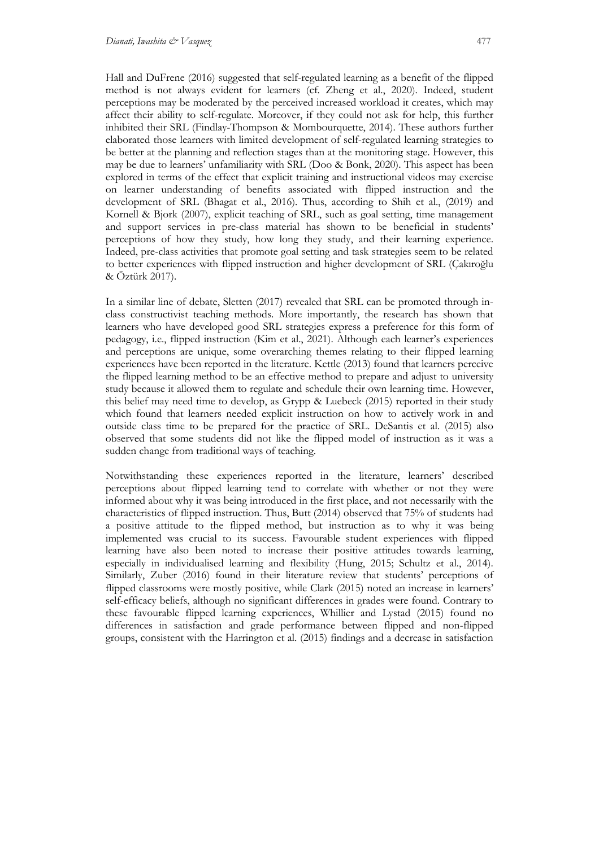Hall and DuFrene (2016) suggested that self-regulated learning as a benefit of the flipped method is not always evident for learners (cf. Zheng et al., 2020). Indeed, student perceptions may be moderated by the perceived increased workload it creates, which may affect their ability to self-regulate. Moreover, if they could not ask for help, this further inhibited their SRL (Findlay-Thompson & Mombourquette, 2014). These authors further elaborated those learners with limited development of self-regulated learning strategies to be better at the planning and reflection stages than at the monitoring stage. However, this may be due to learners' unfamiliarity with SRL (Doo & Bonk, 2020). This aspect has been explored in terms of the effect that explicit training and instructional videos may exercise on learner understanding of benefits associated with flipped instruction and the development of SRL (Bhagat et al., 2016). Thus, according to Shih et al., (2019) and Kornell & Bjork (2007), explicit teaching of SRL, such as goal setting, time management and support services in pre-class material has shown to be beneficial in students' perceptions of how they study, how long they study, and their learning experience. Indeed, pre-class activities that promote goal setting and task strategies seem to be related to better experiences with flipped instruction and higher development of SRL (Çakıroğlu & Öztürk 2017).

In a similar line of debate, Sletten (2017) revealed that SRL can be promoted through inclass constructivist teaching methods. More importantly, the research has shown that learners who have developed good SRL strategies express a preference for this form of pedagogy, i.e., flipped instruction (Kim et al., 2021). Although each learner's experiences and perceptions are unique, some overarching themes relating to their flipped learning experiences have been reported in the literature. Kettle (2013) found that learners perceive the flipped learning method to be an effective method to prepare and adjust to university study because it allowed them to regulate and schedule their own learning time. However, this belief may need time to develop, as Grypp & Luebeck (2015) reported in their study which found that learners needed explicit instruction on how to actively work in and outside class time to be prepared for the practice of SRL. DeSantis et al. (2015) also observed that some students did not like the flipped model of instruction as it was a sudden change from traditional ways of teaching.

Notwithstanding these experiences reported in the literature, learners' described perceptions about flipped learning tend to correlate with whether or not they were informed about why it was being introduced in the first place, and not necessarily with the characteristics of flipped instruction. Thus, Butt (2014) observed that 75% of students had a positive attitude to the flipped method, but instruction as to why it was being implemented was crucial to its success. Favourable student experiences with flipped learning have also been noted to increase their positive attitudes towards learning, especially in individualised learning and flexibility (Hung, 2015; Schultz et al., 2014). Similarly, Zuber (2016) found in their literature review that students' perceptions of flipped classrooms were mostly positive, while Clark (2015) noted an increase in learners' self-efficacy beliefs, although no significant differences in grades were found. Contrary to these favourable flipped learning experiences, Whillier and Lystad (2015) found no differences in satisfaction and grade performance between flipped and non-flipped groups, consistent with the Harrington et al. (2015) findings and a decrease in satisfaction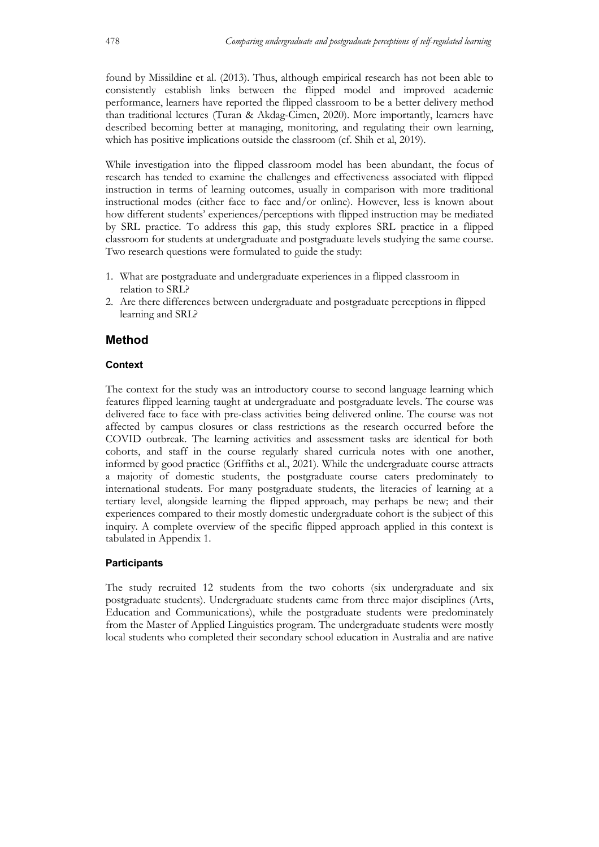found by Missildine et al. (2013). Thus, although empirical research has not been able to consistently establish links between the flipped model and improved academic performance, learners have reported the flipped classroom to be a better delivery method than traditional lectures (Turan & Akdag-Cimen, 2020). More importantly, learners have described becoming better at managing, monitoring, and regulating their own learning, which has positive implications outside the classroom (cf. Shih et al, 2019).

While investigation into the flipped classroom model has been abundant, the focus of research has tended to examine the challenges and effectiveness associated with flipped instruction in terms of learning outcomes, usually in comparison with more traditional instructional modes (either face to face and/or online). However, less is known about how different students' experiences/perceptions with flipped instruction may be mediated by SRL practice. To address this gap, this study explores SRL practice in a flipped classroom for students at undergraduate and postgraduate levels studying the same course. Two research questions were formulated to guide the study:

- 1. What are postgraduate and undergraduate experiences in a flipped classroom in relation to SRL?
- 2. Are there differences between undergraduate and postgraduate perceptions in flipped learning and SRL?

## **Method**

## **Context**

The context for the study was an introductory course to second language learning which features flipped learning taught at undergraduate and postgraduate levels. The course was delivered face to face with pre-class activities being delivered online. The course was not affected by campus closures or class restrictions as the research occurred before the COVID outbreak. The learning activities and assessment tasks are identical for both cohorts, and staff in the course regularly shared curricula notes with one another, informed by good practice (Griffiths et al., 2021). While the undergraduate course attracts a majority of domestic students, the postgraduate course caters predominately to international students. For many postgraduate students, the literacies of learning at a tertiary level, alongside learning the flipped approach, may perhaps be new; and their experiences compared to their mostly domestic undergraduate cohort is the subject of this inquiry. A complete overview of the specific flipped approach applied in this context is tabulated in Appendix 1.

## **Participants**

The study recruited 12 students from the two cohorts (six undergraduate and six postgraduate students). Undergraduate students came from three major disciplines (Arts, Education and Communications), while the postgraduate students were predominately from the Master of Applied Linguistics program. The undergraduate students were mostly local students who completed their secondary school education in Australia and are native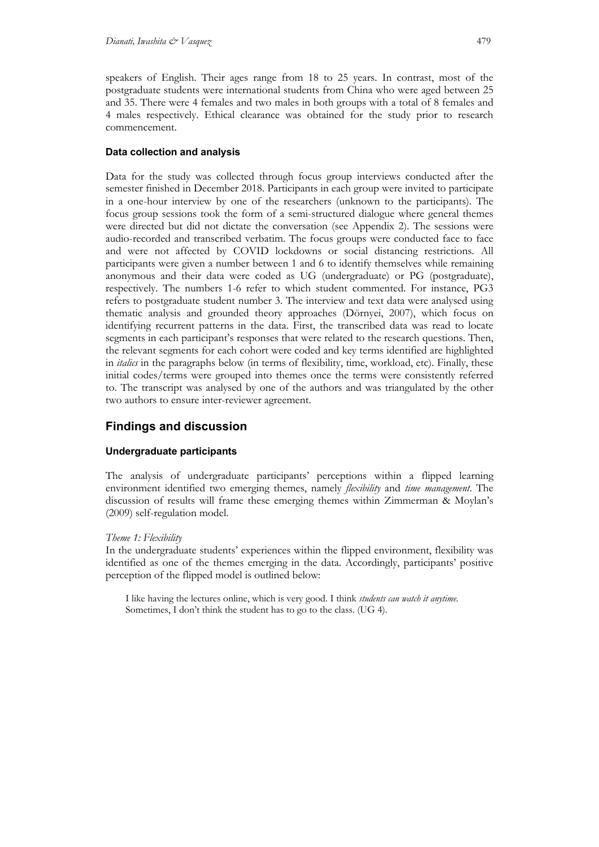speakers of English. Their ages range from 18 to 25 years. In contrast, most of the postgraduate students were international students from China who were aged between 25 and 35. There were 4 females and two males in both groups with a total of 8 females and 4 males respectively. Ethical clearance was obtained for the study prior to research commencement.

#### **Data collection and analysis**

Data for the study was collected through focus group interviews conducted after the semester finished in December 2018. Participants in each group were invited to participate in a one-hour interview by one of the researchers (unknown to the participants). The focus group sessions took the form of a semi-structured dialogue where general themes were directed but did not dictate the conversation (see Appendix 2). The sessions were audio-recorded and transcribed verbatim. The focus groups were conducted face to face and were not affected by COVID lockdowns or social distancing restrictions. All participants were given a number between 1 and 6 to identify themselves while remaining anonymous and their data were coded as UG (undergraduate) or PG (postgraduate), respectively. The numbers 1-6 refer to which student commented. For instance, PG3 refers to postgraduate student number 3. The interview and text data were analysed using thematic analysis and grounded theory approaches (Dörnyei, 2007), which focus on identifying recurrent patterns in the data. First, the transcribed data was read to locate segments in each participant's responses that were related to the research questions. Then, the relevant segments for each cohort were coded and key terms identified are highlighted in *italics* in the paragraphs below (in terms of flexibility, time, workload, etc). Finally, these initial codes/terms were grouped into themes once the terms were consistently referred to. The transcript was analysed by one of the authors and was triangulated by the other two authors to ensure inter-reviewer agreement.

## **Findings and discussion**

#### **Undergraduate participants**

The analysis of undergraduate participants' perceptions within a flipped learning environment identified two emerging themes, namely *flexibility* and *time management*. The discussion of results will frame these emerging themes within Zimmerman & Moylan's (2009) self-regulation model.

#### *Theme 1: Flexibility*

In the undergraduate students' experiences within the flipped environment, flexibility was identified as one of the themes emerging in the data. Accordingly, participants' positive perception of the flipped model is outlined below:

I like having the lectures online, which is very good. I think *students can watch it anytime*. Sometimes, I don't think the student has to go to the class. (UG 4).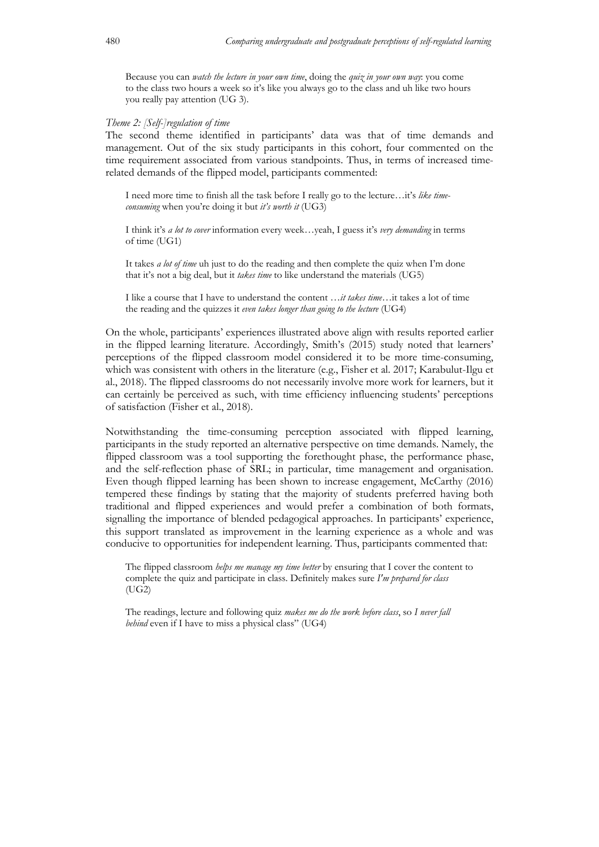Because you can *watch the lecture in your own time*, doing the *quiz in your own way*: you come to the class two hours a week so it's like you always go to the class and uh like two hours you really pay attention (UG 3).

#### *Theme 2: [Self-]regulation of time*

The second theme identified in participants' data was that of time demands and management. Out of the six study participants in this cohort, four commented on the time requirement associated from various standpoints. Thus, in terms of increased timerelated demands of the flipped model, participants commented:

I need more time to finish all the task before I really go to the lecture…it's *like timeconsuming* when you're doing it but *it's worth it* (UG3)

I think it's *a lot to cover* information every week…yeah, I guess it's *very demanding* in terms of time (UG1)

It takes *a lot of time* uh just to do the reading and then complete the quiz when I'm done that it's not a big deal, but it *takes time* to like understand the materials (UG5)

I like a course that I have to understand the content …*it takes time*…it takes a lot of time the reading and the quizzes it *even takes longer than going to the lecture* (UG4)

On the whole, participants' experiences illustrated above align with results reported earlier in the flipped learning literature. Accordingly, Smith's (2015) study noted that learners' perceptions of the flipped classroom model considered it to be more time-consuming, which was consistent with others in the literature (e.g., Fisher et al. 2017; Karabulut-Ilgu et al., 2018). The flipped classrooms do not necessarily involve more work for learners, but it can certainly be perceived as such, with time efficiency influencing students' perceptions of satisfaction (Fisher et al., 2018).

Notwithstanding the time-consuming perception associated with flipped learning, participants in the study reported an alternative perspective on time demands. Namely, the flipped classroom was a tool supporting the forethought phase, the performance phase, and the self-reflection phase of SRL; in particular, time management and organisation. Even though flipped learning has been shown to increase engagement, McCarthy (2016) tempered these findings by stating that the majority of students preferred having both traditional and flipped experiences and would prefer a combination of both formats, signalling the importance of blended pedagogical approaches. In participants' experience, this support translated as improvement in the learning experience as a whole and was conducive to opportunities for independent learning. Thus, participants commented that:

The flipped classroom *helps me manage my time better* by ensuring that I cover the content to complete the quiz and participate in class. Definitely makes sure *I'm prepared for class* (UG2)

The readings, lecture and following quiz *makes me do the work before class*, so *I never fall behind* even if I have to miss a physical class" (UG4)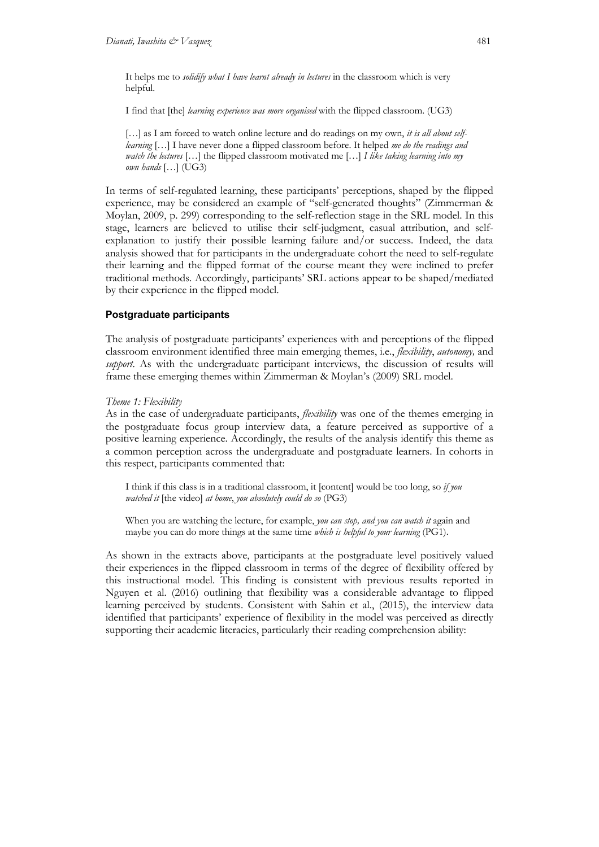It helps me to *solidify what I have learnt already in lectures* in the classroom which is very helpful.

I find that [the] *learning experience was more organised* with the flipped classroom. (UG3)

[...] as I am forced to watch online lecture and do readings on my own, *it is all about selflearning* […] I have never done a flipped classroom before. It helped *me do the readings and watch the lectures* […] the flipped classroom motivated me […] *I like taking learning into my own hands* […] (UG3)

In terms of self-regulated learning, these participants' perceptions, shaped by the flipped experience, may be considered an example of "self-generated thoughts" (Zimmerman & Moylan, 2009, p. 299) corresponding to the self-reflection stage in the SRL model. In this stage, learners are believed to utilise their self-judgment, casual attribution, and selfexplanation to justify their possible learning failure and/or success. Indeed, the data analysis showed that for participants in the undergraduate cohort the need to self-regulate their learning and the flipped format of the course meant they were inclined to prefer traditional methods. Accordingly, participants' SRL actions appear to be shaped/mediated by their experience in the flipped model.

## **Postgraduate participants**

The analysis of postgraduate participants' experiences with and perceptions of the flipped classroom environment identified three main emerging themes, i.e., *flexibility*, *autonomy,* and *support*. As with the undergraduate participant interviews, the discussion of results will frame these emerging themes within Zimmerman & Moylan's (2009) SRL model.

#### *Theme 1: Flexibility*

As in the case of undergraduate participants, *flexibility* was one of the themes emerging in the postgraduate focus group interview data, a feature perceived as supportive of a positive learning experience. Accordingly, the results of the analysis identify this theme as a common perception across the undergraduate and postgraduate learners. In cohorts in this respect, participants commented that:

I think if this class is in a traditional classroom, it [content] would be too long, so *if you watched it* [the video] *at home*, *you absolutely could do so* (PG3)

When you are watching the lecture, for example, *you can stop, and you can watch it* again and maybe you can do more things at the same time *which is helpful to your learning* (PG1).

As shown in the extracts above, participants at the postgraduate level positively valued their experiences in the flipped classroom in terms of the degree of flexibility offered by this instructional model. This finding is consistent with previous results reported in Nguyen et al. (2016) outlining that flexibility was a considerable advantage to flipped learning perceived by students. Consistent with Sahin et al., (2015), the interview data identified that participants' experience of flexibility in the model was perceived as directly supporting their academic literacies, particularly their reading comprehension ability: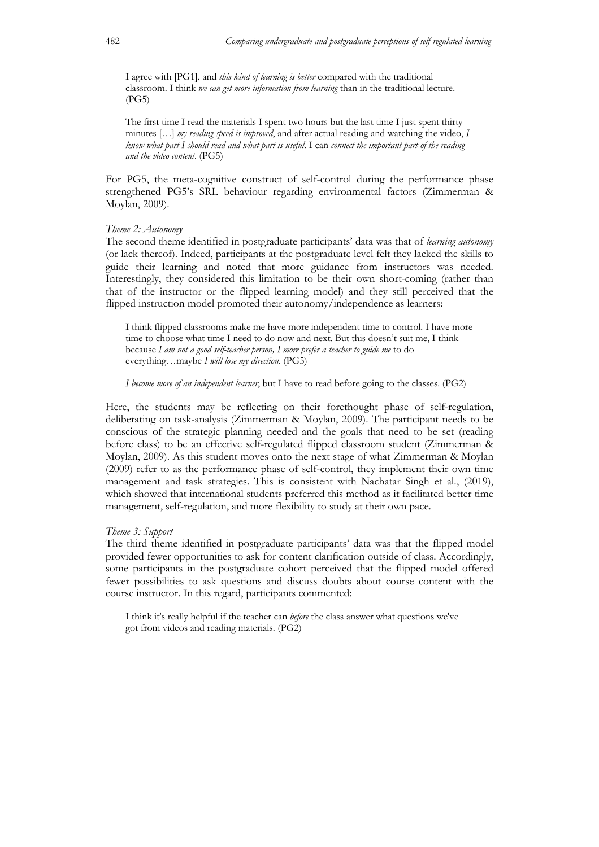I agree with [PG1], and *this kind of learning is better* compared with the traditional classroom. I think *we can get more information from learning* than in the traditional lecture. (PG5)

The first time I read the materials I spent two hours but the last time I just spent thirty minutes […] *my reading speed is improved*, and after actual reading and watching the video, *I know what part I should read and what part is useful*. I can *connect the important part of the reading and the video content*. (PG5)

For PG5, the meta-cognitive construct of self-control during the performance phase strengthened PG5's SRL behaviour regarding environmental factors (Zimmerman & Moylan, 2009).

#### *Theme 2: Autonomy*

The second theme identified in postgraduate participants' data was that of *learning autonomy* (or lack thereof). Indeed, participants at the postgraduate level felt they lacked the skills to guide their learning and noted that more guidance from instructors was needed. Interestingly, they considered this limitation to be their own short-coming (rather than that of the instructor or the flipped learning model) and they still perceived that the flipped instruction model promoted their autonomy/independence as learners:

I think flipped classrooms make me have more independent time to control. I have more time to choose what time I need to do now and next. But this doesn't suit me, I think because *I am not a good self-teacher person, I more prefer a teacher to guide me* to do everything…maybe *I will lose my direction*. (PG5)

*I become more of an independent learner*, but I have to read before going to the classes. (PG2)

Here, the students may be reflecting on their forethought phase of self-regulation, deliberating on task-analysis (Zimmerman & Moylan, 2009). The participant needs to be conscious of the strategic planning needed and the goals that need to be set (reading before class) to be an effective self-regulated flipped classroom student (Zimmerman & Moylan, 2009). As this student moves onto the next stage of what Zimmerman & Moylan (2009) refer to as the performance phase of self-control, they implement their own time management and task strategies. This is consistent with Nachatar Singh et al., (2019), which showed that international students preferred this method as it facilitated better time management, self-regulation, and more flexibility to study at their own pace.

#### *Theme 3: Support*

The third theme identified in postgraduate participants' data was that the flipped model provided fewer opportunities to ask for content clarification outside of class. Accordingly, some participants in the postgraduate cohort perceived that the flipped model offered fewer possibilities to ask questions and discuss doubts about course content with the course instructor. In this regard, participants commented:

I think it's really helpful if the teacher can *before* the class answer what questions we've got from videos and reading materials. (PG2)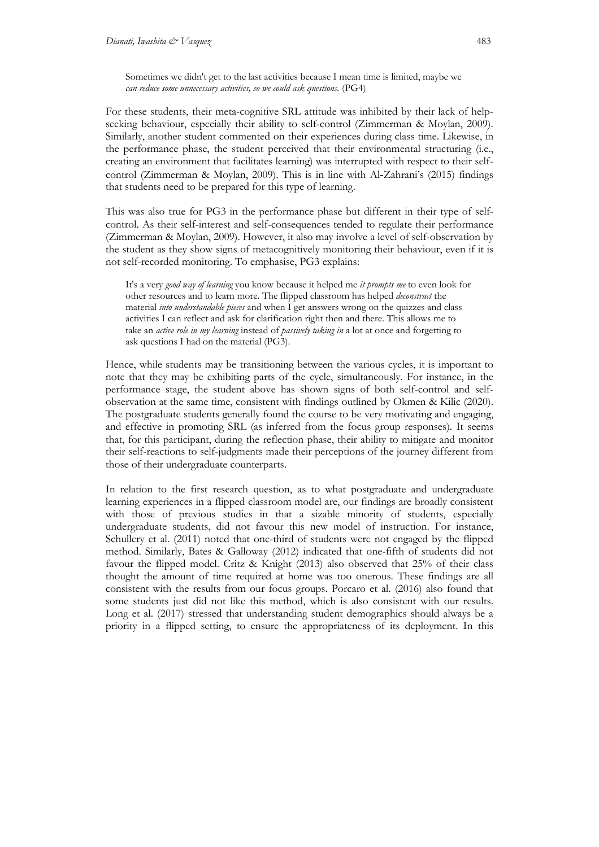Sometimes we didn't get to the last activities because I mean time is limited, maybe we *can reduce some unnecessary activities, so we could ask questions.* (PG4)

For these students, their meta-cognitive SRL attitude was inhibited by their lack of helpseeking behaviour, especially their ability to self-control (Zimmerman & Moylan, 2009). Similarly, another student commented on their experiences during class time. Likewise, in the performance phase, the student perceived that their environmental structuring (i.e., creating an environment that facilitates learning) was interrupted with respect to their selfcontrol (Zimmerman & Moylan, 2009). This is in line with Al‐Zahrani's (2015) findings that students need to be prepared for this type of learning.

This was also true for PG3 in the performance phase but different in their type of selfcontrol. As their self-interest and self-consequences tended to regulate their performance (Zimmerman & Moylan, 2009). However, it also may involve a level of self-observation by the student as they show signs of metacognitively monitoring their behaviour, even if it is not self-recorded monitoring. To emphasise, PG3 explains:

It's a very *good way of learning* you know because it helped me *it prompts me* to even look for other resources and to learn more. The flipped classroom has helped *deconstruct* the material *into understandable pieces* and when I get answers wrong on the quizzes and class activities I can reflect and ask for clarification right then and there. This allows me to take an *active role in my learning* instead of *passively taking in* a lot at once and forgetting to ask questions I had on the material (PG3).

Hence, while students may be transitioning between the various cycles, it is important to note that they may be exhibiting parts of the cycle, simultaneously. For instance, in the performance stage, the student above has shown signs of both self-control and selfobservation at the same time, consistent with findings outlined by Okmen & Kilic (2020). The postgraduate students generally found the course to be very motivating and engaging, and effective in promoting SRL (as inferred from the focus group responses). It seems that, for this participant, during the reflection phase, their ability to mitigate and monitor their self-reactions to self-judgments made their perceptions of the journey different from those of their undergraduate counterparts.

In relation to the first research question, as to what postgraduate and undergraduate learning experiences in a flipped classroom model are, our findings are broadly consistent with those of previous studies in that a sizable minority of students, especially undergraduate students, did not favour this new model of instruction. For instance, Schullery et al. (2011) noted that one-third of students were not engaged by the flipped method. Similarly, Bates & Galloway (2012) indicated that one-fifth of students did not favour the flipped model. Critz & Knight (2013) also observed that 25% of their class thought the amount of time required at home was too onerous. These findings are all consistent with the results from our focus groups. Porcaro et al. (2016) also found that some students just did not like this method, which is also consistent with our results. Long et al. (2017) stressed that understanding student demographics should always be a priority in a flipped setting, to ensure the appropriateness of its deployment. In this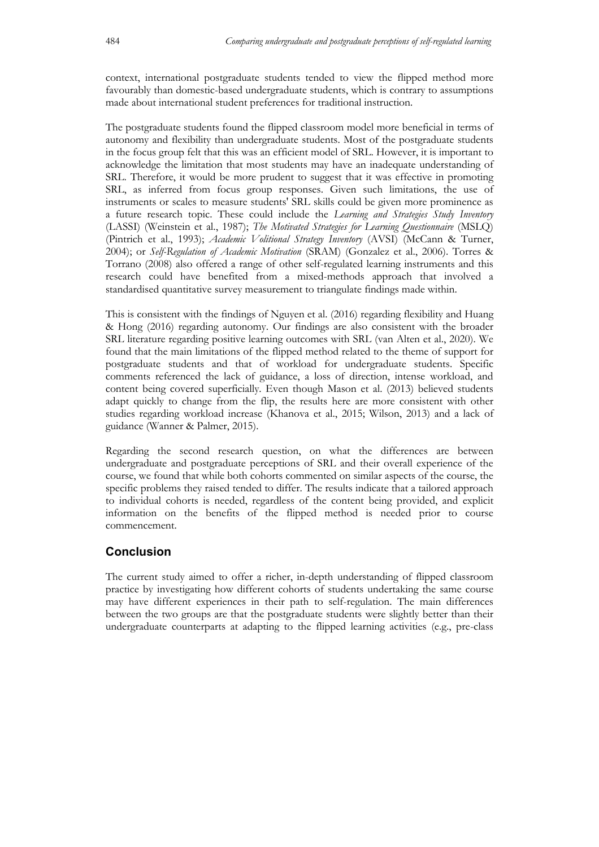context, international postgraduate students tended to view the flipped method more favourably than domestic-based undergraduate students, which is contrary to assumptions made about international student preferences for traditional instruction.

The postgraduate students found the flipped classroom model more beneficial in terms of autonomy and flexibility than undergraduate students. Most of the postgraduate students in the focus group felt that this was an efficient model of SRL. However, it is important to acknowledge the limitation that most students may have an inadequate understanding of SRL. Therefore, it would be more prudent to suggest that it was effective in promoting SRL, as inferred from focus group responses. Given such limitations, the use of instruments or scales to measure students' SRL skills could be given more prominence as a future research topic. These could include the *Learning and Strategies Study Inventory* (LASSI) (Weinstein et al., 1987); *The Motivated Strategies for Learning Questionnaire* (MSLQ) (Pintrich et al., 1993); *Academic Volitional Strategy Inventory* (AVSI) (McCann & Turner, 2004); or *Self-Regulation of Academic Motivation* (SRAM) (Gonzalez et al., 2006). Torres & Torrano (2008) also offered a range of other self-regulated learning instruments and this research could have benefited from a mixed-methods approach that involved a standardised quantitative survey measurement to triangulate findings made within.

This is consistent with the findings of Nguyen et al. (2016) regarding flexibility and Huang & Hong (2016) regarding autonomy. Our findings are also consistent with the broader SRL literature regarding positive learning outcomes with SRL (van Alten et al., 2020). We found that the main limitations of the flipped method related to the theme of support for postgraduate students and that of workload for undergraduate students. Specific comments referenced the lack of guidance, a loss of direction, intense workload, and content being covered superficially. Even though Mason et al. (2013) believed students adapt quickly to change from the flip, the results here are more consistent with other studies regarding workload increase (Khanova et al., 2015; Wilson, 2013) and a lack of guidance (Wanner & Palmer, 2015).

Regarding the second research question, on what the differences are between undergraduate and postgraduate perceptions of SRL and their overall experience of the course, we found that while both cohorts commented on similar aspects of the course, the specific problems they raised tended to differ. The results indicate that a tailored approach to individual cohorts is needed, regardless of the content being provided, and explicit information on the benefits of the flipped method is needed prior to course commencement.

## **Conclusion**

The current study aimed to offer a richer, in-depth understanding of flipped classroom practice by investigating how different cohorts of students undertaking the same course may have different experiences in their path to self-regulation. The main differences between the two groups are that the postgraduate students were slightly better than their undergraduate counterparts at adapting to the flipped learning activities (e.g., pre-class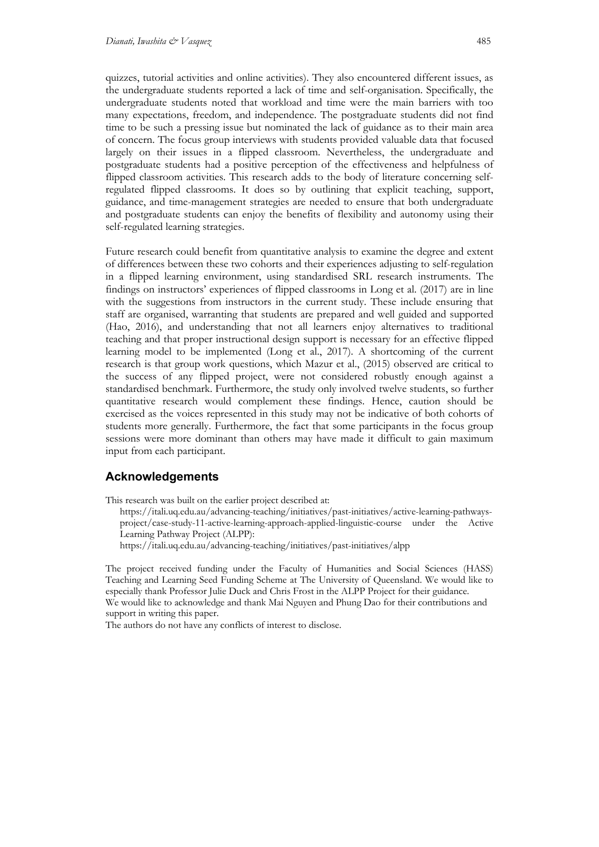quizzes, tutorial activities and online activities). They also encountered different issues, as the undergraduate students reported a lack of time and self-organisation. Specifically, the undergraduate students noted that workload and time were the main barriers with too many expectations, freedom, and independence. The postgraduate students did not find time to be such a pressing issue but nominated the lack of guidance as to their main area of concern. The focus group interviews with students provided valuable data that focused largely on their issues in a flipped classroom. Nevertheless, the undergraduate and postgraduate students had a positive perception of the effectiveness and helpfulness of flipped classroom activities. This research adds to the body of literature concerning selfregulated flipped classrooms. It does so by outlining that explicit teaching, support, guidance, and time-management strategies are needed to ensure that both undergraduate and postgraduate students can enjoy the benefits of flexibility and autonomy using their self-regulated learning strategies.

Future research could benefit from quantitative analysis to examine the degree and extent of differences between these two cohorts and their experiences adjusting to self-regulation in a flipped learning environment, using standardised SRL research instruments. The findings on instructors' experiences of flipped classrooms in Long et al. (2017) are in line with the suggestions from instructors in the current study. These include ensuring that staff are organised, warranting that students are prepared and well guided and supported (Hao, 2016), and understanding that not all learners enjoy alternatives to traditional teaching and that proper instructional design support is necessary for an effective flipped learning model to be implemented (Long et al., 2017). A shortcoming of the current research is that group work questions, which Mazur et al., (2015) observed are critical to the success of any flipped project, were not considered robustly enough against a standardised benchmark. Furthermore, the study only involved twelve students, so further quantitative research would complement these findings. Hence, caution should be exercised as the voices represented in this study may not be indicative of both cohorts of students more generally. Furthermore, the fact that some participants in the focus group sessions were more dominant than others may have made it difficult to gain maximum input from each participant.

## **Acknowledgements**

This research was built on the earlier project described at:

https://itali.uq.edu.au/advancing-teaching/initiatives/past-initiatives/active-learning-pathwaysproject/case-study-11-active-learning-approach-applied-linguistic-course under the Active Learning Pathway Project (ALPP):

https://itali.uq.edu.au/advancing-teaching/initiatives/past-initiatives/alpp

The project received funding under the Faculty of Humanities and Social Sciences (HASS) Teaching and Learning Seed Funding Scheme at The University of Queensland. We would like to especially thank Professor Julie Duck and Chris Frost in the ALPP Project for their guidance. We would like to acknowledge and thank Mai Nguyen and Phung Dao for their contributions and support in writing this paper.

The authors do not have any conflicts of interest to disclose.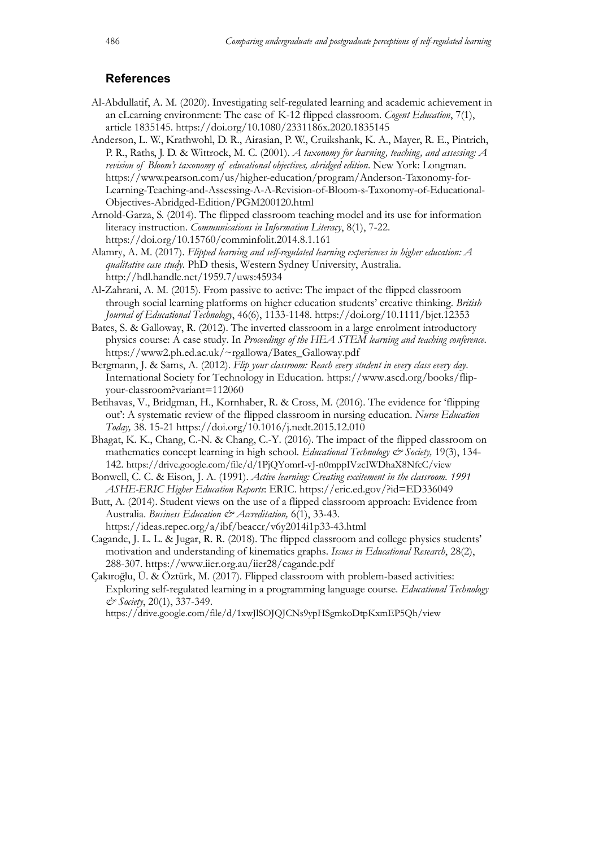## **References**

Al-Abdullatif, A. M. (2020). Investigating self-regulated learning and academic achievement in an eLearning environment: The case of K-12 flipped classroom. *Cogent Education*, 7(1), article 1835145. https://doi.org/10.1080/2331186x.2020.1835145

Anderson, L. W., Krathwohl, D. R., Airasian, P. W., Cruikshank, K. A., Mayer, R. E., Pintrich, P. R., Raths, J. D. & Wittrock, M. C. (2001). *A taxonomy for learning, teaching, and assessing: A revision of Bloom's taxonomy of educational objectives, abridged edition*. New York: Longman. https://www.pearson.com/us/higher-education/program/Anderson-Taxonomy-for-Learning-Teaching-and-Assessing-A-A-Revision-of-Bloom-s-Taxonomy-of-Educational-Objectives-Abridged-Edition/PGM200120.html

Arnold-Garza, S. (2014). The flipped classroom teaching model and its use for information literacy instruction. *Communications in Information Literacy*, 8(1), 7-22. https://doi.org/10.15760/comminfolit.2014.8.1.161

Alamry, A. M. (2017). *Flipped learning and self-regulated learning experiences in higher education: A qualitative case study*. PhD thesis, Western Sydney University, Australia. http://hdl.handle.net/1959.7/uws:45934

Al‐Zahrani, A. M. (2015). From passive to active: The impact of the flipped classroom through social learning platforms on higher education students' creative thinking. *British Journal of Educational Technology*, 46(6), 1133-1148. https://doi.org/10.1111/bjet.12353

Bates, S. & Galloway, R. (2012). The inverted classroom in a large enrolment introductory physics course: A case study. In *Proceedings of the HEA STEM learning and teaching conference*. https://www2.ph.ed.ac.uk/~rgallowa/Bates\_Galloway.pdf

Bergmann, J. & Sams, A. (2012). *Flip your classroom: Reach every student in every class every day*. International Society for Technology in Education. https://www.ascd.org/books/flipyour-classroom?variant=112060

- Betihavas, V., Bridgman, H., Kornhaber, R. & Cross, M. (2016). The evidence for 'flipping out': A systematic review of the flipped classroom in nursing education. *Nurse Education Today,* 38. 15-21 https://doi.org/10.1016/j.nedt.2015.12.010
- Bhagat, K. K., Chang, C.-N. & Chang, C.-Y. (2016). The impact of the flipped classroom on mathematics concept learning in high school. *Educational Technology & Society,* 19(3), 134- 142. https://drive.google.com/file/d/1PjQYomrI-vJ-n0mppIVzcIWDhaX8NfcC/view

Bonwell, C. C. & Eison, J. A. (1991). *Active learning: Creating excitement in the classroom. 1991 ASHE-ERIC Higher Education Reports*: ERIC. https://eric.ed.gov/?id=ED336049

Butt, A. (2014). Student views on the use of a flipped classroom approach: Evidence from Australia. *Business Education & Accreditation,* 6(1), 33-43.

https://ideas.repec.org/a/ibf/beaccr/v6y2014i1p33-43.html Cagande, J. L. L. & Jugar, R. R. (2018). The flipped classroom and college physics students' motivation and understanding of kinematics graphs. *Issues in Educational Research*, 28(2), 288-307. https://www.iier.org.au/iier28/cagande.pdf

Çakıroğlu, Ü. & Öztürk, M. (2017). Flipped classroom with problem-based activities: Exploring self-regulated learning in a programming language course. *Educational Technology & Society*, 20(1), 337-349.

https://drive.google.com/file/d/1xwJlSOJQJCNs9ypHSgmkoDtpKxmEP5Qh/view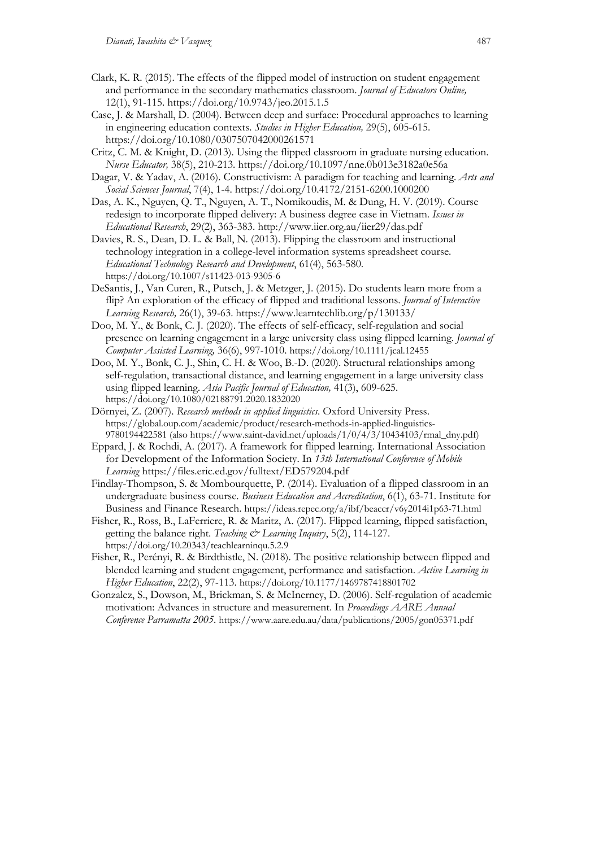- Clark, K. R. (2015). The effects of the flipped model of instruction on student engagement and performance in the secondary mathematics classroom. *Journal of Educators Online,*  12(1), 91-115. https://doi.org/10.9743/jeo.2015.1.5
- Case, J. & Marshall, D. (2004). Between deep and surface: Procedural approaches to learning in engineering education contexts. *Studies in Higher Education,* 29(5), 605-615. https://doi.org/10.1080/0307507042000261571
- Critz, C. M. & Knight, D. (2013). Using the flipped classroom in graduate nursing education. *Nurse Educator,* 38(5), 210-213. https://doi.org/10.1097/nne.0b013e3182a0e56a
- Dagar, V. & Yadav, A. (2016). Constructivism: A paradigm for teaching and learning. *Arts and Social Sciences Journal*, 7(4), 1-4. https://doi.org/10.4172/2151-6200.1000200
- Das, A. K., Nguyen, Q. T., Nguyen, A. T., Nomikoudis, M. & Dung, H. V. (2019). Course redesign to incorporate flipped delivery: A business degree case in Vietnam. *Issues in Educational Research*, 29(2), 363-383. http://www.iier.org.au/iier29/das.pdf
- Davies, R. S., Dean, D. L. & Ball, N. (2013). Flipping the classroom and instructional technology integration in a college-level information systems spreadsheet course. *Educational Technology Research and Development*, 61(4), 563-580. https://doi.org/10.1007/s11423-013-9305-6
- DeSantis, J., Van Curen, R., Putsch, J. & Metzger, J. (2015). Do students learn more from a flip? An exploration of the efficacy of flipped and traditional lessons. *Journal of Interactive Learning Research,* 26(1), 39-63. https://www.learntechlib.org/p/130133/
- Doo, M. Y., & Bonk, C. J. (2020). The effects of self-efficacy, self-regulation and social presence on learning engagement in a large university class using flipped learning. *Journal of Computer Assisted Learning,* 36(6), 997-1010. https://doi.org/10.1111/jcal.12455
- Doo, M. Y., Bonk, C. J., Shin, C. H. & Woo, B.-D. (2020). Structural relationships among self-regulation, transactional distance, and learning engagement in a large university class using flipped learning*. Asia Pacific Journal of Education,* 41(3), 609-625. https://doi.org/10.1080/02188791.2020.1832020
- Dörnyei, Z. (2007). *Research methods in applied linguistics*. Oxford University Press. https://global.oup.com/academic/product/research-methods-in-applied-linguistics-9780194422581 (also https://www.saint-david.net/uploads/1/0/4/3/10434103/rmal\_dny.pdf)
- Eppard, J. & Rochdi, A. (2017). A framework for flipped learning. International Association for Development of the Information Society. In *13th International Conference of Mobile Learning* https://files.eric.ed.gov/fulltext/ED579204.pdf
- Findlay-Thompson, S. & Mombourquette, P. (2014). Evaluation of a flipped classroom in an undergraduate business course. *Business Education and Accreditation*, 6(1), 63-71. Institute for Business and Finance Research. https://ideas.repec.org/a/ibf/beaccr/v6y2014i1p63-71.html
- Fisher, R., Ross, B., LaFerriere, R. & Maritz, A. (2017). Flipped learning, flipped satisfaction, getting the balance right. *Teaching & Learning Inquiry*, 5(2), 114-127. https://doi.org/10.20343/teachlearninqu.5.2.9
- Fisher, R., Perényi, R. & Birdthistle, N. (2018). The positive relationship between flipped and blended learning and student engagement, performance and satisfaction. *Active Learning in Higher Education*, 22(2), 97-113. https://doi.org/10.1177/1469787418801702
- Gonzalez, S., Dowson, M., Brickman, S. & McInerney, D. (2006). Self-regulation of academic motivation: Advances in structure and measurement. In *Proceedings AARE Annual Conference Parramatta 2005*. https://www.aare.edu.au/data/publications/2005/gon05371.pdf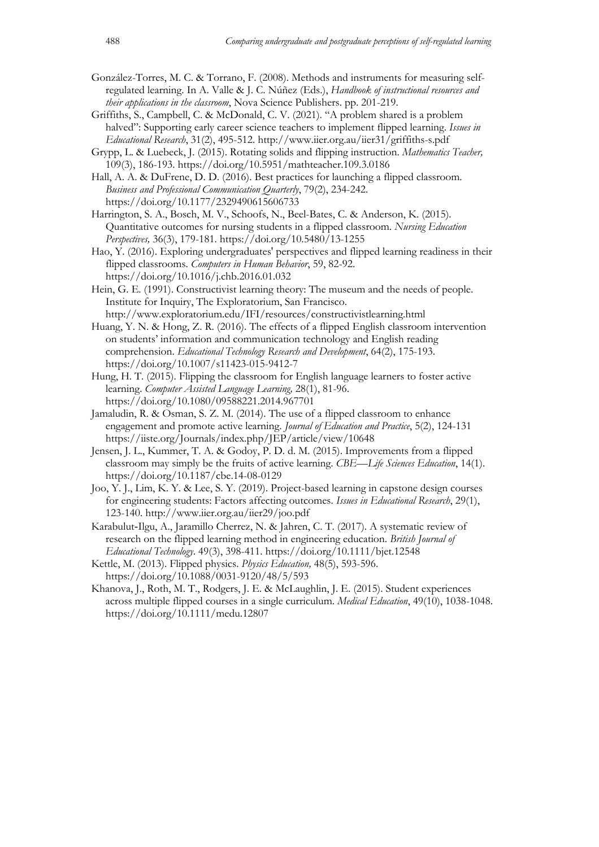- González-Torres, M. C. & Torrano, F. (2008). Methods and instruments for measuring selfregulated learning. In A. Valle & J. C. Núñez (Eds.), *Handbook of instructional resources and their applications in the classroom*, Nova Science Publishers. pp. 201-219.
- Griffiths, S., Campbell, C. & McDonald, C. V. (2021). "A problem shared is a problem halved": Supporting early career science teachers to implement flipped learning. *Issues in Educational Research*, 31(2), 495-512. http://www.iier.org.au/iier31/griffiths-s.pdf
- Grypp, L. & Luebeck, J. (2015). Rotating solids and flipping instruction. *Mathematics Teacher,*  109(3), 186-193. https://doi.org/10.5951/mathteacher.109.3.0186
- Hall, A. A. & DuFrene, D. D. (2016). Best practices for launching a flipped classroom. *Business and Professional Communication Quarterly*, 79(2), 234-242. https://doi.org/10.1177/2329490615606733
- Harrington, S. A., Bosch, M. V., Schoofs, N., Beel-Bates, C. & Anderson, K. (2015). Quantitative outcomes for nursing students in a flipped classroom. *Nursing Education Perspectives,* 36(3), 179-181. https://doi.org/10.5480/13-1255
- Hao, Y. (2016). Exploring undergraduates' perspectives and flipped learning readiness in their flipped classrooms. *Computers in Human Behavior*, 59, 82-92. https://doi.org/10.1016/j.chb.2016.01.032
- Hein, G. E. (1991). Constructivist learning theory: The museum and the needs of people. Institute for Inquiry, The Exploratorium, San Francisco. http://www.exploratorium.edu/IFI/resources/constructivistlearning.html
- Huang, Y. N. & Hong, Z. R. (2016). The effects of a flipped English classroom intervention on students' information and communication technology and English reading comprehension. *Educational Technology Research and Development*, 64(2), 175-193. https://doi.org/10.1007/s11423-015-9412-7
- Hung, H. T. (2015). Flipping the classroom for English language learners to foster active learning. *Computer Assisted Language Learning,* 28(1), 81-96. https://doi.org/10.1080/09588221.2014.967701
- Jamaludin, R. & Osman, S. Z. M. (2014). The use of a flipped classroom to enhance engagement and promote active learning. *Journal of Education and Practice*, 5(2), 124-131 https://iiste.org/Journals/index.php/JEP/article/view/10648
- Jensen, J. L., Kummer, T. A. & Godoy, P. D. d. M. (2015). Improvements from a flipped classroom may simply be the fruits of active learning. *CBE—Life Sciences Education*, 14(1). https://doi.org/10.1187/cbe.14-08-0129
- Joo, Y. J., Lim, K. Y. & Lee, S. Y. (2019). Project-based learning in capstone design courses for engineering students: Factors affecting outcomes. *Issues in Educational Research*, 29(1), 123-140. http://www.iier.org.au/iier29/joo.pdf
- Karabulut‐Ilgu, A., Jaramillo Cherrez, N. & Jahren, C. T. (2017). A systematic review of research on the flipped learning method in engineering education. *British Journal of Educational Technology*. 49(3), 398-411. https://doi.org/10.1111/bjet.12548
- Kettle, M. (2013). Flipped physics. *Physics Education,* 48(5), 593-596. https://doi.org/10.1088/0031-9120/48/5/593
- Khanova, J., Roth, M. T., Rodgers, J. E. & McLaughlin, J. E. (2015). Student experiences across multiple flipped courses in a single curriculum. *Medical Education*, 49(10), 1038-1048. https://doi.org/10.1111/medu.12807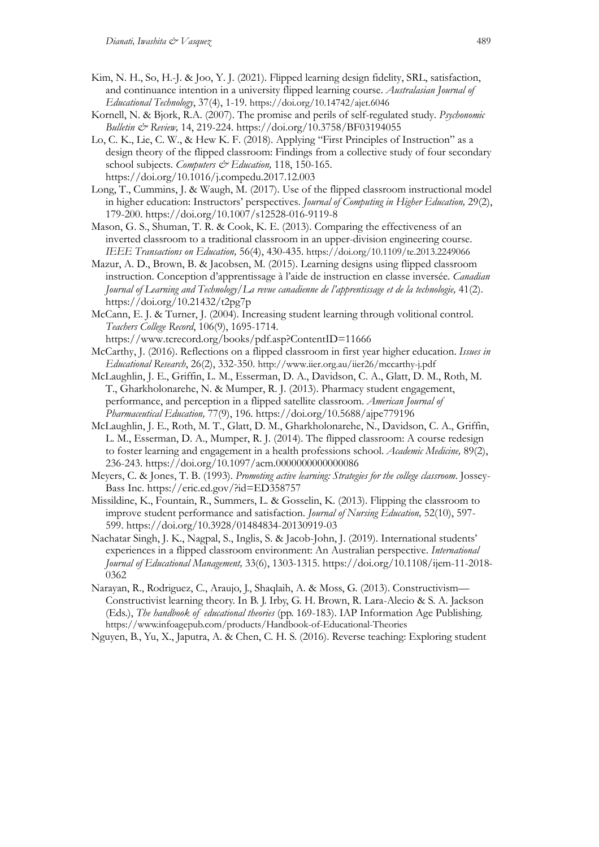- Kim, N. H., So, H.-J. & Joo, Y. J. (2021). Flipped learning design fidelity, SRL, satisfaction, and continuance intention in a university flipped learning course. *Australasian Journal of Educational Technology*, 37(4), 1-19. https://doi.org/10.14742/ajet.6046
- Kornell, N. & Bjork, R.A. (2007). The promise and perils of self-regulated study. *Psychonomic Bulletin & Review,* 14, 219-224. https://doi.org/10.3758/BF03194055
- Lo, C. K., Lie, C. W., & Hew K. F. (2018). Applying "First Principles of Instruction" as a design theory of the flipped classroom: Findings from a collective study of four secondary school subjects. *Computers & Education*, 118, 150-165. https://doi.org/10.1016/j.compedu.2017.12.003
- Long, T., Cummins, J. & Waugh, M. (2017). Use of the flipped classroom instructional model in higher education: Instructors' perspectives. *Journal of Computing in Higher Education,* 29(2), 179-200. https://doi.org/10.1007/s12528-016-9119-8
- Mason, G. S., Shuman, T. R. & Cook, K. E. (2013). Comparing the effectiveness of an inverted classroom to a traditional classroom in an upper-division engineering course. *IEEE Transactions on Education,* 56(4), 430-435. https://doi.org/10.1109/te.2013.2249066
- Mazur, A. D., Brown, B. & Jacobsen, M. (2015). Learning designs using flipped classroom instruction. Conception d'apprentissage à l'aide de instruction en classe inversée. *Canadian Journal of Learning and Technology/La revue canadienne de l'apprentissage et de la technologie,* 41(2). https://doi.org/10.21432/t2pg7p
- McCann, E. J. & Turner, J. (2004). Increasing student learning through volitional control. *Teachers College Record*, 106(9), 1695-1714.
- https://www.tcrecord.org/books/pdf.asp?ContentID=11666 McCarthy, J. (2016). Reflections on a flipped classroom in first year higher education. *Issues in Educational Research*, 26(2), 332-350. http://www.iier.org.au/iier26/mccarthy-j.pdf
- McLaughlin, J. E., Griffin, L. M., Esserman, D. A., Davidson, C. A., Glatt, D. M., Roth, M. T., Gharkholonarehe, N. & Mumper, R. J. (2013). Pharmacy student engagement, performance, and perception in a flipped satellite classroom. *American Journal of Pharmaceutical Education,* 77(9), 196. https://doi.org/10.5688/ajpe779196
- McLaughlin, J. E., Roth, M. T., Glatt, D. M., Gharkholonarehe, N., Davidson, C. A., Griffin, L. M., Esserman, D. A., Mumper, R. J. (2014). The flipped classroom: A course redesign to foster learning and engagement in a health professions school. *Academic Medicine,* 89(2), 236-243. https://doi.org/10.1097/acm.0000000000000086
- Meyers, C. & Jones, T. B. (1993). *Promoting active learning: Strategies for the college classroom*. Jossey-Bass Inc. https://eric.ed.gov/?id=ED358757
- Missildine, K., Fountain, R., Summers, L. & Gosselin, K. (2013). Flipping the classroom to improve student performance and satisfaction. *Journal of Nursing Education,* 52(10), 597- 599. https://doi.org/10.3928/01484834-20130919-03
- Nachatar Singh, J. K., Nagpal, S., Inglis, S. & Jacob-John, J. (2019). International students' experiences in a flipped classroom environment: An Australian perspective. *International Journal of Educational Management,* 33(6), 1303-1315. https://doi.org/10.1108/ijem-11-2018- 0362
- Narayan, R., Rodriguez, C., Araujo, J., Shaqlaih, A. & Moss, G. (2013). Constructivism— Constructivist learning theory. In B. J. Irby, G. H. Brown, R. Lara-Alecio & S. A. Jackson (Eds.), *The handbook of educational theories* (pp. 169-183). IAP Information Age Publishing. https://www.infoagepub.com/products/Handbook-of-Educational-Theories
- Nguyen, B., Yu, X., Japutra, A. & Chen, C. H. S. (2016). Reverse teaching: Exploring student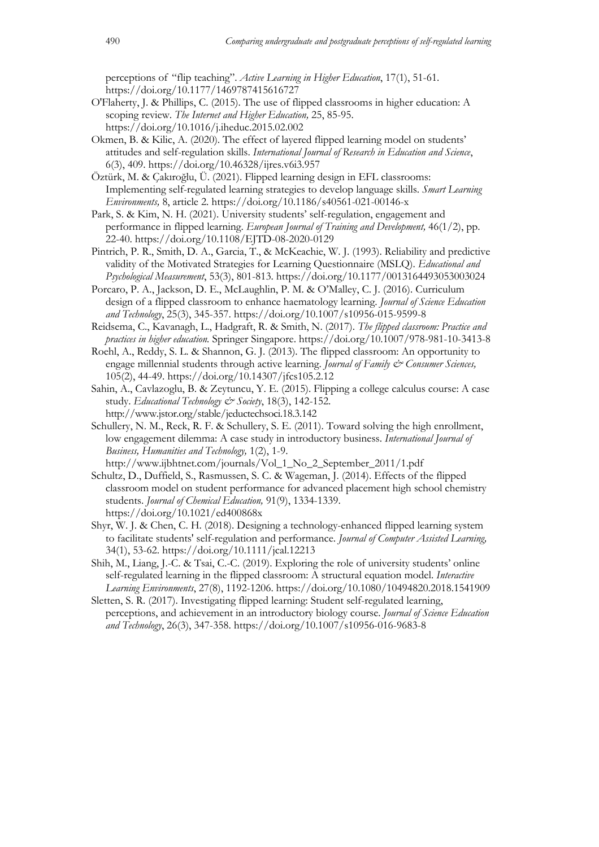perceptions of "flip teaching". *Active Learning in Higher Education*, 17(1), 51-61. https://doi.org/10.1177/1469787415616727

- O'Flaherty, J. & Phillips, C. (2015). The use of flipped classrooms in higher education: A scoping review. *The Internet and Higher Education,* 25, 85-95. https://doi.org/10.1016/j.iheduc.2015.02.002
- Okmen, B. & Kilic, A. (2020). The effect of layered flipped learning model on students' attitudes and self-regulation skills. *International Journal of Research in Education and Science*, 6(3), 409. https://doi.org/10.46328/ijres.v6i3.957

Öztürk, M. & Çakıroğlu, Ü. (2021). Flipped learning design in EFL classrooms: Implementing self-regulated learning strategies to develop language skills. *Smart Learning Environments,* 8, article 2. https://doi.org/10.1186/s40561-021-00146-x

- Park, S. & Kim, N. H. (2021). University students' self-regulation, engagement and performance in flipped learning. *European Journal of Training and Development,* 46(1/2), pp. 22-40. https://doi.org/10.1108/EJTD-08-2020-0129
- Pintrich, P. R., Smith, D. A., Garcia, T., & McKeachie, W. J. (1993). Reliability and predictive validity of the Motivated Strategies for Learning Questionnaire (MSLQ). *Educational and Psychological Measurement*, 53(3), 801-813. https://doi.org/10.1177/0013164493053003024
- Porcaro, P. A., Jackson, D. E., McLaughlin, P. M. & O'Malley, C. J. (2016). Curriculum design of a flipped classroom to enhance haematology learning. *Journal of Science Education and Technology*, 25(3), 345-357. https://doi.org/10.1007/s10956-015-9599-8
- Reidsema, C., Kavanagh, L., Hadgraft, R. & Smith, N. (2017). *The flipped classroom: Practice and practices in higher education.* Springer Singapore. https://doi.org/10.1007/978-981-10-3413-8
- Roehl, A., Reddy, S. L. & Shannon, G. J. (2013). The flipped classroom: An opportunity to engage millennial students through active learning. *Journal of Family & Consumer Sciences,* 105(2), 44-49. https://doi.org/10.14307/jfcs105.2.12
- Sahin, A., Cavlazoglu, B. & Zeytuncu, Y. E. (2015). Flipping a college calculus course: A case study. *Educational Technology & Society*, 18(3), 142-152. http://www.jstor.org/stable/jeductechsoci.18.3.142
- Schullery, N. M., Reck, R. F. & Schullery, S. E. (2011). Toward solving the high enrollment, low engagement dilemma: A case study in introductory business. *International Journal of Business, Humanities and Technology,* 1(2), 1-9.
- http://www.ijbhtnet.com/journals/Vol\_1\_No\_2\_September\_2011/1.pdf Schultz, D., Duffield, S., Rasmussen, S. C. & Wageman, J. (2014). Effects of the flipped classroom model on student performance for advanced placement high school chemistry students. *Journal of Chemical Education,* 91(9), 1334-1339. https://doi.org/10.1021/ed400868x
- Shyr, W. J. & Chen, C. H. (2018). Designing a technology-enhanced flipped learning system to facilitate students' self-regulation and performance. *Journal of Computer Assisted Learning,*  34(1), 53-62. https://doi.org/10.1111/jcal.12213
- Shih, M., Liang, J.-C. & Tsai, C.-C. (2019). Exploring the role of university students' online self-regulated learning in the flipped classroom: A structural equation model. *Interactive Learning Environments*, 27(8), 1192-1206. https://doi.org/10.1080/10494820.2018.1541909
- Sletten, S. R. (2017). Investigating flipped learning: Student self-regulated learning, perceptions, and achievement in an introductory biology course. *Journal of Science Education and Technology*, 26(3), 347-358. https://doi.org/10.1007/s10956-016-9683-8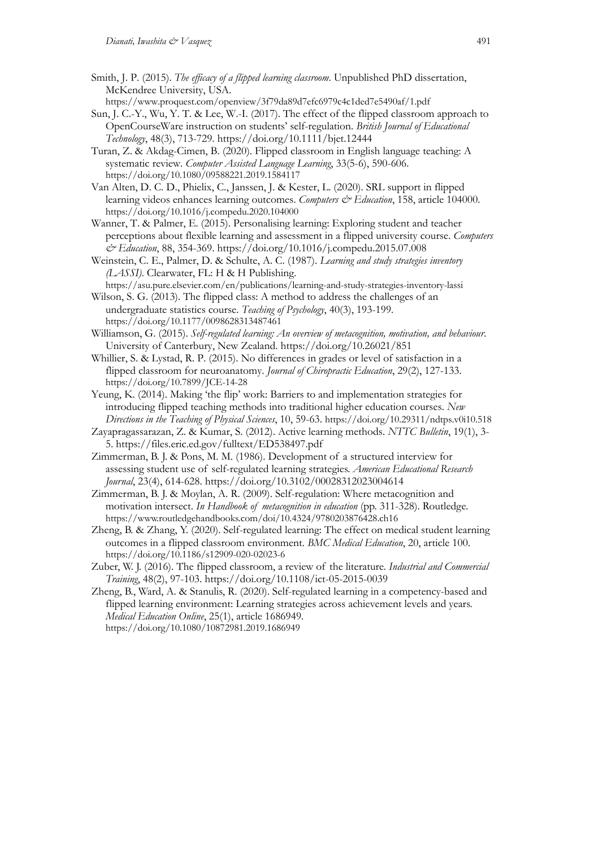- Smith, J. P. (2015). *The efficacy of a flipped learning classroom*. Unpublished PhD dissertation, McKendree University, USA.
- https://www.proquest.com/openview/3f79da89d7efc6979c4c1ded7e5490af/1.pdf Sun, J. C.-Y., Wu, Y. T. & Lee, W.-I. (2017). The effect of the flipped classroom approach to OpenCourseWare instruction on students' self-regulation. *British Journal of Educational Technology*, 48(3), 713-729. https://doi.org/10.1111/bjet.12444
- Turan, Z. & Akdag-Cimen, B. (2020). Flipped classroom in English language teaching: A systematic review. *Computer Assisted Language Learning*, 33(5-6), 590-606. https://doi.org/10.1080/09588221.2019.1584117
- Van Alten, D. C. D., Phielix, C., Janssen, J. & Kester, L. (2020). SRL support in flipped learning videos enhances learning outcomes. *Computers & Education*, 158, article 104000. https://doi.org/10.1016/j.compedu.2020.104000
- Wanner, T. & Palmer, E. (2015). Personalising learning: Exploring student and teacher perceptions about flexible learning and assessment in a flipped university course. *Computers & Education*, 88, 354-369. https://doi.org/10.1016/j.compedu.2015.07.008
- Weinstein, C. E., Palmer, D. & Schulte, A. C. (1987). *Learning and study strategies inventory (LASSI)*. Clearwater, FL: H & H Publishing.
- https://asu.pure.elsevier.com/en/publications/learning-and-study-strategies-inventory-lassi Wilson, S. G. (2013). The flipped class: A method to address the challenges of an
- undergraduate statistics course. *Teaching of Psychology*, 40(3), 193-199. https://doi.org/10.1177/0098628313487461
- Williamson, G. (2015). *Self-regulated learning: An overview of metacognition, motivation, and behaviour*. University of Canterbury, New Zealand. https://doi.org/10.26021/851
- Whillier, S. & Lystad, R. P. (2015). No differences in grades or level of satisfaction in a flipped classroom for neuroanatomy. *Journal of Chiropractic Education*, 29(2), 127-133. https://doi.org/10.7899/JCE-14-28
- Yeung, K. (2014). Making 'the flip' work: Barriers to and implementation strategies for introducing flipped teaching methods into traditional higher education courses. *New Directions in the Teaching of Physical Sciences*, 10, 59-63. https://doi.org/10.29311/ndtps.v0i10.518
- Zayapragassarazan, Z. & Kumar, S. (2012). Active learning methods. *NTTC Bulletin*, 19(1), 3- 5. https://files.eric.ed.gov/fulltext/ED538497.pdf
- Zimmerman, B. J. & Pons, M. M. (1986). Development of a structured interview for assessing student use of self-regulated learning strategies. *American Educational Research Journal*, 23(4), 614-628. https://doi.org/10.3102/00028312023004614
- Zimmerman, B. J. & Moylan, A. R. (2009). Self-regulation: Where metacognition and motivation intersect. *In Handbook of metacognition in education* (pp. 311-328). Routledge. https://www.routledgehandbooks.com/doi/10.4324/9780203876428.ch16
- Zheng, B. & Zhang, Y. (2020). Self-regulated learning: The effect on medical student learning outcomes in a flipped classroom environment. *BMC Medical Education*, 20, article 100. https://doi.org/10.1186/s12909-020-02023-6
- Zuber, W. J. (2016). The flipped classroom, a review of the literature. *Industrial and Commercial Training*, 48(2), 97-103. https://doi.org/10.1108/ict-05-2015-0039
- Zheng, B., Ward, A. & Stanulis, R. (2020). Self-regulated learning in a competency-based and flipped learning environment: Learning strategies across achievement levels and years. *Medical Education Online*, 25(1), article 1686949. https://doi.org/10.1080/10872981.2019.1686949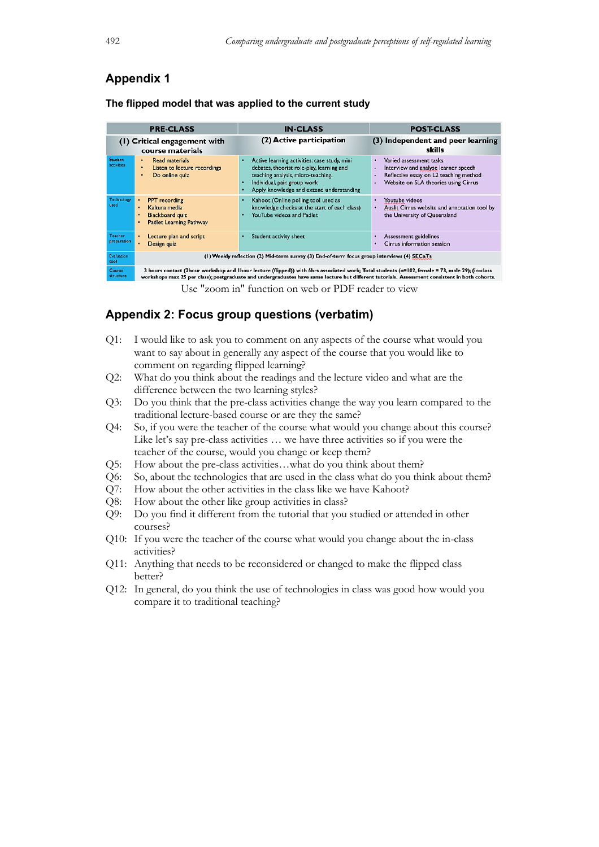## **Appendix 1**

| <b>PRE-CLASS</b>                                 |                       |           |                                                | <b>IN-CLASS</b> |                                                                                         |   | <b>POST-CLASS</b>                                                |
|--------------------------------------------------|-----------------------|-----------|------------------------------------------------|-----------------|-----------------------------------------------------------------------------------------|---|------------------------------------------------------------------|
| (1) Critical engagement with<br>course materials |                       |           |                                                |                 | (2) Active participation                                                                |   | (3) Independent and peer learning<br>skills                      |
|                                                  | Student<br>activities | $\bullet$ | Read materials<br>Listan to lactura recordings |                 | Active learning activities: case study, mini<br>debates theorist role-play learning and | ٠ | Varied assessment tasks:<br>Interview and analyse learner speech |

**The flipped model that was applied to the current study**

|                    | course materials                                                                                  |                                                                                                                                                                                                                  | SKIIIS                                                                                                                                                       |  |  |  |  |
|--------------------|---------------------------------------------------------------------------------------------------|------------------------------------------------------------------------------------------------------------------------------------------------------------------------------------------------------------------|--------------------------------------------------------------------------------------------------------------------------------------------------------------|--|--|--|--|
| udent<br>tivities  | <b>Read materials</b><br>٠<br>Listen to lecture recordings<br>٠<br>Do online quiz<br>٠            | Active learning activities: case study, mini<br>debates, theorist role-play, learning and<br>teaching analysis, micro-teaching.<br>Individual, pair, group work<br>٠<br>Apply knowledge and extend understanding | Varied assessment tasks:<br>٠<br>Interview and analyse learner speech<br>٠<br>Reflective essay on L2 teaching method<br>Website on SLA theories using Cirrus |  |  |  |  |
| chnology<br>еd     | <b>PPT</b> recording<br>Kaltura media<br><b>Blackboard quiz</b><br><b>Padlet Learning Pathway</b> | Kahoot (Online polling tool used as<br>knowledge checks at the start of each class)<br>YouTube videos and Padlet                                                                                                 | Youtube videos<br>٠<br>Auslit Cirrus website and annotation tool by<br>the University of Queensland                                                          |  |  |  |  |
| acher<br>eparation | Lecture plan and script<br>Design quiz                                                            | Student activity sheet                                                                                                                                                                                           | <b>Assessment guidelines</b><br>٠<br>Cirrus information session                                                                                              |  |  |  |  |
| aluation           | (I) Weekly reflection (2) Mid-term survey (3) End-of-term focus group interviews (4) SECaTs       |                                                                                                                                                                                                                  |                                                                                                                                                              |  |  |  |  |

3 hours contact (2hour workshop and Ihour lecture (flipped)) with 6hrs associated work; Total students (n=102, female = 73, male 29); (in-class<br>workshops max 25 per class); postgraduate and undergraduates have same lecture

Use "zoom in" function on web or PDF reader to view

## **Appendix 2: Focus group questions (verbatim)**

- Q1: I would like to ask you to comment on any aspects of the course what would you want to say about in generally any aspect of the course that you would like to comment on regarding flipped learning?
- Q2: What do you think about the readings and the lecture video and what are the difference between the two learning styles?
- Q3: Do you think that the pre-class activities change the way you learn compared to the traditional lecture-based course or are they the same?
- Q4: So, if you were the teacher of the course what would you change about this course? Like let's say pre-class activities ... we have three activities so if you were the teacher of the course, would you change or keep them?
- Q5: How about the pre-class activities…what do you think about them?
- Q6: So, about the technologies that are used in the class what do you think about them?
- Q7: How about the other activities in the class like we have Kahoot?
- Q8: How about the other like group activities in class?
- Q9: Do you find it different from the tutorial that you studied or attended in other courses?
- Q10: If you were the teacher of the course what would you change about the in-class activities?
- Q11: Anything that needs to be reconsidered or changed to make the flipped class better?
- Q12: In general, do you think the use of technologies in class was good how would you compare it to traditional teaching?